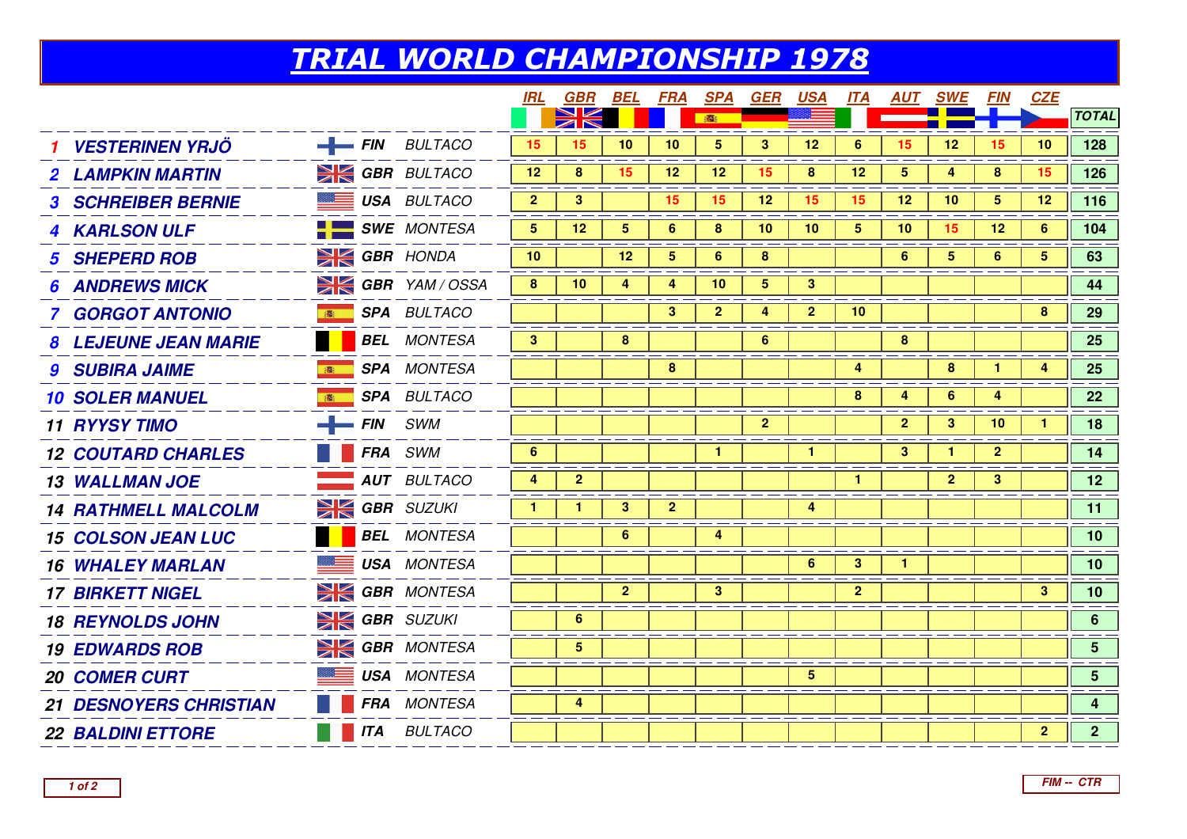## TRIAL WORLD CHAMPIONSHIP 1978

|                               |             |                            | IRL            | <b>GBR BEL</b> |                | <b>FRA</b>      | <b>SPA</b>              | <b>GER</b>     | <u>USA</u>   | <u>ITA</u>   |                 | <u>AUT SWE</u> | <i>FIN</i>     | <b>CZE</b>     |                         |
|-------------------------------|-------------|----------------------------|----------------|----------------|----------------|-----------------|-------------------------|----------------|--------------|--------------|-----------------|----------------|----------------|----------------|-------------------------|
|                               |             |                            |                |                |                |                 | · · 商                   |                |              |              |                 |                |                |                | <b>TOTAL</b>            |
| <b>VESTERINEN YRJÖ</b>        |             | $-$ FIN BULTACO            | 15             | 15             | 10             | 10 <sup>°</sup> | 5                       | 3 <sup>2</sup> | 12           | 6            | 15              | 12             | 15             | 10             | 128                     |
| <b>2 LAMPKIN MARTIN</b>       |             | <b>SK GBR</b> BULTACO      | 12             | 8              | 15             | 12 <sub>2</sub> | 12 <sub>2</sub>         | 15             | 8            | 12           | 5               | 4              | 8              | 15             | 126                     |
| <b>3 SCHREIBER BERNIE</b>     |             | <b>USA BULTACO</b>         | 2 <sup>2</sup> | $3\phantom{a}$ |                | 15              | 15                      | 12             | 15           | 15           | 12              | 10             | 5 <sub>5</sub> | 12             | 116                     |
| <b>4 KARLSON ULF</b>          |             | $\blacksquare$ SWE MONTESA | 5              | 12             | $\overline{5}$ | 6               | 8                       | 10             | 10           | 5            | 10 <sup>°</sup> | 15             | 12             | 6              | 104                     |
| <b>5 SHEPERD ROB</b>          |             | <b>EX GBR</b> HONDA        | 10             |                | 12             | 5 <sup>1</sup>  | 6                       | 8              |              |              | 6               | 5 <sup>5</sup> | 6              | $5^{\circ}$    | 63                      |
| <b>6 ANDREWS MICK</b>         |             | <b>SK GBR</b> YAM/OSSA     | 8              | 10             | 4              | 4               | 10 <sup>1</sup>         | 5              | $\mathbf{3}$ |              |                 |                |                |                | 44                      |
| 7 GORGOT ANTONIO              | (数)         | <b>SPA BULTACO</b>         |                |                |                | 3               | $\mathbf{2}$            | 4              | $\mathbf{2}$ | 10           |                 |                |                | 8              | 29                      |
| 8 LEJEUNE JEAN MARIE          |             | <b>BEL</b> MONTESA         | 3 <sup>2</sup> |                | 8              |                 |                         | 6              |              |              | 8               |                |                |                | 25                      |
| <b>9 SUBIRA JAIME</b>         |             | <b>SPA</b> MONTESA         |                |                |                | 8               |                         |                |              | 4            |                 | 8              | $\mathbf{1}$   | 4              | 25                      |
| <b>10 SOLER MANUEL</b>        |             | <b>SPA BULTACO</b>         |                |                |                |                 |                         |                |              | 8            | 4               | 6              | 4              |                | 22                      |
| <b>11 RYYSY TIMO</b>          | $-$ FIN SWM |                            |                |                |                |                 |                         | 2 <sup>1</sup> |              |              | $\mathbf{2}$    | 3 <sup>1</sup> | 10             | -1             | 18                      |
| <b>12 COUTARD CHARLES</b>     |             | <b>FRA</b> SWM             | 6              |                |                |                 | 1                       |                | $\mathbf{1}$ |              | 3 <sup>2</sup>  | 1.             | $\mathbf{2}$   |                | 14                      |
| <b>13 WALLMAN JOE</b>         |             | <b>AUT</b> BULTACO         | 4              | $\mathbf{2}$   |                |                 |                         |                |              | 1            |                 | $\mathbf{2}$   | 3              |                | 12 <sub>2</sub>         |
| <b>14 RATHMELL MALCOLM</b>    |             | $\geq$ GBR SUZUKI          | $\mathbf{1}$   | $\mathbf{1}$   | 3              | $\mathbf{2}$    |                         |                | 4            |              |                 |                |                |                | 11                      |
| <b>15 COLSON JEAN LUC</b>     |             | <b>BEL</b> MONTESA         |                |                | 6              |                 | $\overline{\mathbf{4}}$ |                |              |              |                 |                |                |                | 10                      |
| <b>16 WHALEY MARLAN</b>       |             | <b>USA</b> MONTESA         |                |                |                |                 |                         |                | 6            | $\mathbf{3}$ | $\mathbf{1}$    |                |                |                | 10 <sub>1</sub>         |
| <b>17 BIRKETT NIGEL</b>       |             | <b>SIGBR</b> MONTESA       |                |                | $\mathbf{2}$   |                 | 3                       |                |              | $\mathbf{2}$ |                 |                |                | 3              | 10                      |
| <b>18 REYNOLDS JOHN</b>       |             | <b>SK GBR</b> SUZUKI       |                | 6              |                |                 |                         |                |              |              |                 |                |                |                | 6 <sup>1</sup>          |
| <b>19 EDWARDS ROB</b>         |             | <b>SK GBR</b> MONTESA      |                | 5              |                |                 |                         |                |              |              |                 |                |                |                | 5 <sup>1</sup>          |
| <b>20 COMER CURT</b>          |             | <b>USA MONTESA</b>         |                |                |                |                 |                         |                | 5            |              |                 |                |                |                | 5 <sub>5</sub>          |
| <b>21 DESNOYERS CHRISTIAN</b> |             | FRA MONTESA                |                | 4              |                |                 |                         |                |              |              |                 |                |                |                | $\overline{\mathbf{4}}$ |
| <b>22 BALDINI ETTORE</b>      |             | <b>ITA</b> BULTACO         |                |                |                |                 |                         |                |              |              |                 |                |                | $\overline{2}$ | 2 <sup>1</sup>          |
|                               |             |                            |                |                |                |                 |                         |                |              |              |                 |                |                |                |                         |